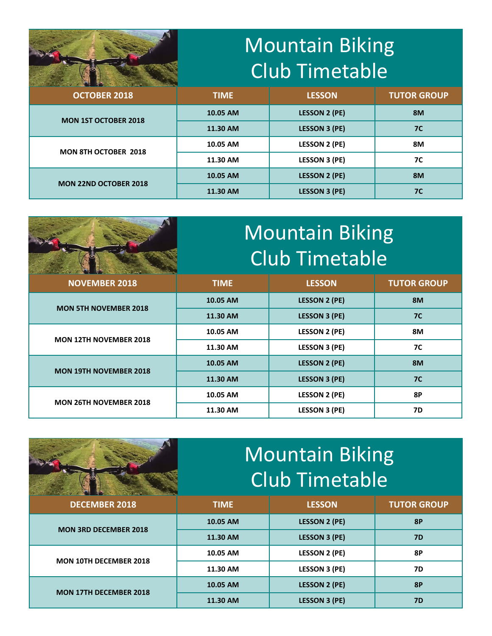## Mountain Biking Club Timetable



| <b>DESITY STEERING CONTROLS COMPANY AND A 1999 FOR A REPORT OF A REPORT OF A STEERING CONTROL CONTROL CONTROL CONTROL CONTROL CONTROL CONTROL CONTROL CONTROL CONTROL CONTROL CONTROL CONTROL CONTROL CONTROL CONTROL CONTROL CO</b><br><b>OCTOBER 2018</b> | <b>TIME</b> | <b>LESSON</b>        | <b>TUTOR GROUP</b> |
|-------------------------------------------------------------------------------------------------------------------------------------------------------------------------------------------------------------------------------------------------------------|-------------|----------------------|--------------------|
| <b>MON 1ST OCTOBER 2018</b>                                                                                                                                                                                                                                 | 10.05 AM    | <b>LESSON 2 (PE)</b> | <b>8M</b>          |
|                                                                                                                                                                                                                                                             | 11.30 AM    | <b>LESSON 3 (PE)</b> | <b>7C</b>          |
| <b>MON 8TH OCTOBER 2018</b>                                                                                                                                                                                                                                 | 10.05 AM    | <b>LESSON 2 (PE)</b> | 8M                 |
|                                                                                                                                                                                                                                                             | 11.30 AM    | <b>LESSON 3 (PE)</b> | 7C                 |
| <b>MON 22ND OCTOBER 2018</b>                                                                                                                                                                                                                                | 10.05 AM    | <b>LESSON 2 (PE)</b> | 8M                 |
|                                                                                                                                                                                                                                                             | 11.30 AM    | <b>LESSON 3 (PE)</b> | <b>7C</b>          |

|                               | Mountain Biking<br><b>Club Timetable</b> |                      |                    |
|-------------------------------|------------------------------------------|----------------------|--------------------|
| <b>NOVEMBER 2018</b>          | <b>TIME</b>                              | <b>LESSON</b>        | <b>TUTOR GROUP</b> |
| <b>MON 5TH NOVEMBER 2018</b>  | 10.05 AM                                 | <b>LESSON 2 (PE)</b> | <b>8M</b>          |
|                               | 11.30 AM                                 | <b>LESSON 3 (PE)</b> | 7 <sup>C</sup>     |
| <b>MON 12TH NOVEMBER 2018</b> | 10.05 AM                                 | <b>LESSON 2 (PE)</b> | <b>8M</b>          |
|                               | 11.30 AM                                 | <b>LESSON 3 (PE)</b> | <b>7C</b>          |
| <b>MON 19TH NOVEMBER 2018</b> | 10.05 AM                                 | <b>LESSON 2 (PE)</b> | 8M                 |
|                               | 11.30 AM                                 | <b>LESSON 3 (PE)</b> | <b>7C</b>          |
| <b>MON 26TH NOVEMBER 2018</b> | 10.05 AM                                 | <b>LESSON 2 (PE)</b> | 8P                 |
|                               | 11.30 AM                                 | <b>LESSON 3 (PE)</b> | 7D                 |

|                               | <b>Mountain Biking</b><br><b>Club Timetable</b> |                      |                    |
|-------------------------------|-------------------------------------------------|----------------------|--------------------|
| <b>DECEMBER 2018</b>          | <b>TIME</b>                                     | <b>LESSON</b>        | <b>TUTOR GROUP</b> |
| <b>MON 3RD DECEMBER 2018</b>  | 10.05 AM                                        | <b>LESSON 2 (PE)</b> | <b>8P</b>          |
|                               | 11.30 AM                                        | <b>LESSON 3 (PE)</b> | <b>7D</b>          |
| <b>MON 10TH DECEMBER 2018</b> | 10.05 AM                                        | <b>LESSON 2 (PE)</b> | <b>8P</b>          |
|                               | 11.30 AM                                        | <b>LESSON 3 (PE)</b> | <b>7D</b>          |
| <b>MON 17TH DECEMBER 2018</b> | 10.05 AM                                        | <b>LESSON 2 (PE)</b> | <b>8P</b>          |
|                               | 11.30 AM                                        | <b>LESSON 3 (PE)</b> | <b>7D</b>          |